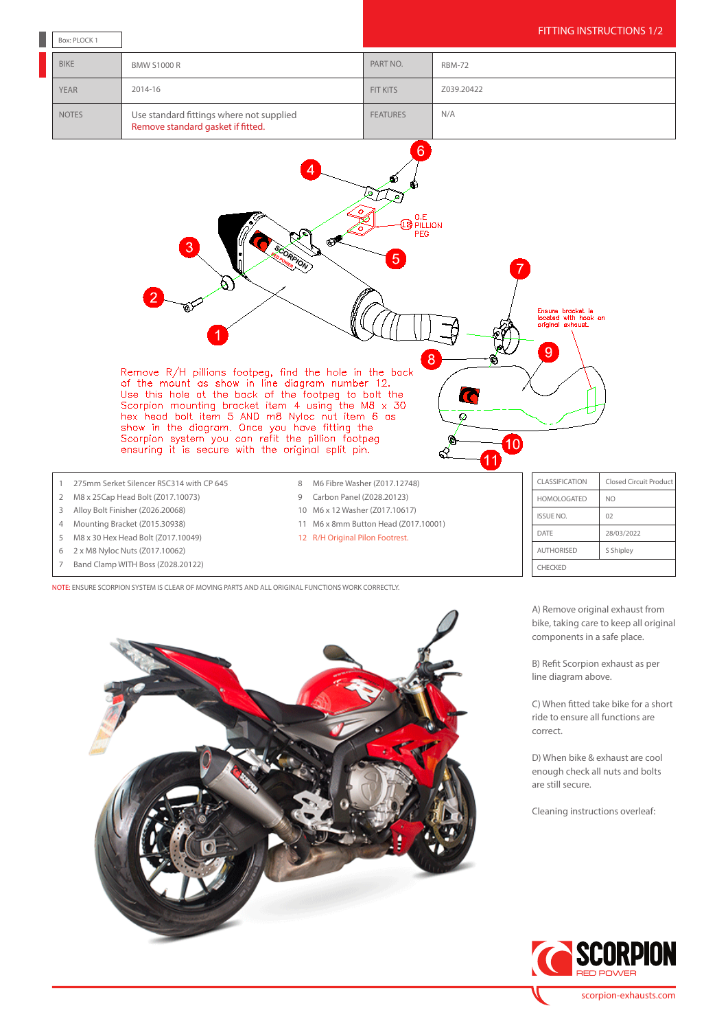

- 5 M8 x 30 Hex Head Bolt (Z017.10049)
- 6 2 x M8 Nyloc Nuts (Z017.10062)
- 7 Band Clamp WITH Boss (Z028.20122)

NOTE: ENSURE SCORPION SYSTEM IS CLEAR OF MOVING PARTS AND ALL ORIGINAL FUNCTIONS WORK CORRECTLY.



A) Remove original exhaust from bike, taking care to keep all original components in a safe place.

AUTHORISED S Shipley

CHECKED

B) Refit Scorpion exhaust as per line diagram above.

C) When fitted take bike for a short ride to ensure all functions are correct.

D) When bike & exhaust are cool enough check all nuts and bolts are still secure.

Cleaning instructions overleaf: